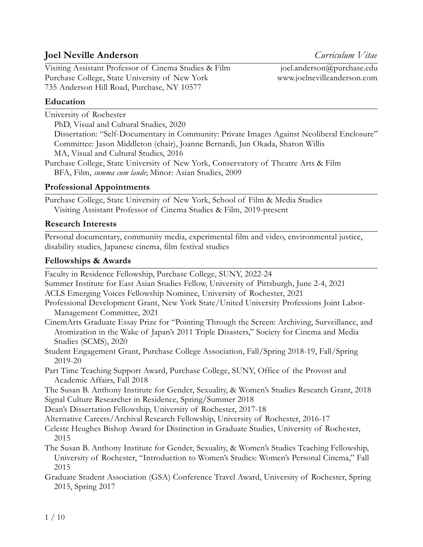# **Joel Neville Anderson** *Curriculum Vitae*

Visiting Assistant Professor of Cinema Studies & Film joel.anderson@purchase.edu Purchase College, State University of New York www.joelnevilleanderson.com 735 Anderson Hill Road, Purchase, NY 10577

# **Education**

University of Rochester

PhD, Visual and Cultural Studies, 2020

Dissertation: "Self-Documentary in Community: Private Images Against Neoliberal Enclosure" Committee: Jason Middleton (chair), Joanne Bernardi, Jun Okada, Sharon Willis MA, Visual and Cultural Studies, 2016

Purchase College, State University of New York, Conservatory of Theatre Arts & Film BFA, Film, *summa cum laude*; Minor: Asian Studies, 2009

# **Professional Appointments**

Purchase College, State University of New York, School of Film & Media Studies Visiting Assistant Professor of Cinema Studies & Film, 2019-present

## **Research Interests**

Personal documentary, community media, experimental film and video, environmental justice, disability studies, Japanese cinema, film festival studies

## **Fellowships & Awards**

Faculty in Residence Fellowship, Purchase College, SUNY, 2022-24

Summer Institute for East Asian Studies Fellow, University of Pittsburgh, June 2-4, 2021 ACLS Emerging Voices Fellowship Nominee, University of Rochester, 2021

Professional Development Grant, New York State/United University Professions Joint Labor-Management Committee, 2021

CinemArts Graduate Essay Prize for "Pointing Through the Screen: Archiving, Surveillance, and Atomization in the Wake of Japan's 2011 Triple Disasters," Society for Cinema and Media Studies (SCMS), 2020

Student Engagement Grant, Purchase College Association, Fall/Spring 2018-19, Fall/Spring 2019-20

Part Time Teaching Support Award, Purchase College, SUNY, Office of the Provost and Academic Affairs, Fall 2018

The Susan B. Anthony Institute for Gender, Sexuality, & Women's Studies Research Grant, 2018 Signal Culture Researcher in Residence, Spring/Summer 2018

Dean's Dissertation Fellowship, University of Rochester, 2017-18

Alternative Careers/Archival Research Fellowship, University of Rochester, 2016-17

- Celeste Heughes Bishop Award for Distinction in Graduate Studies, University of Rochester, 2015
- The Susan B. Anthony Institute for Gender, Sexuality, & Women's Studies Teaching Fellowship, University of Rochester, "Introduction to Women's Studies: Women's Personal Cinema," Fall 2015
- Graduate Student Association (GSA) Conference Travel Award, University of Rochester, Spring 2015, Spring 2017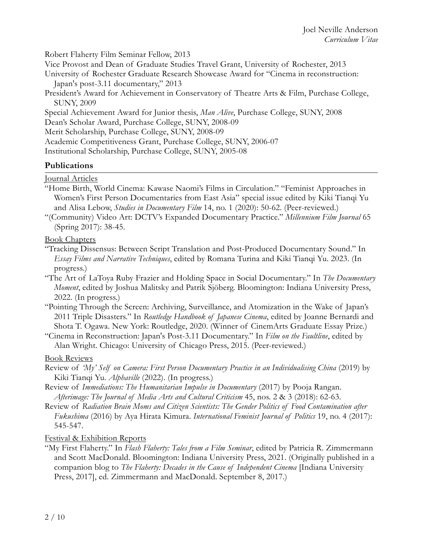Robert Flaherty Film Seminar Fellow, 2013

Vice Provost and Dean of Graduate Studies Travel Grant, University of Rochester, 2013

University of Rochester Graduate Research Showcase Award for "Cinema in reconstruction: Japan's post-3.11 documentary," 2013

President's Award for Achievement in Conservatory of Theatre Arts & Film, Purchase College, SUNY, 2009

Special Achievement Award for Junior thesis, *Man Alive*, Purchase College, SUNY, 2008

Dean's Scholar Award, Purchase College, SUNY, 2008-09

Merit Scholarship, Purchase College, SUNY, 2008-09

Academic Competitiveness Grant, Purchase College, SUNY, 2006-07

Institutional Scholarship, Purchase College, SUNY, 2005-08

### **Publications**

Journal Articles

- "Home Birth, World Cinema: Kawase Naomi's Films in Circulation." "Feminist Approaches in Women's First Person Documentaries from East Asia" special issue edited by Kiki Tianqi Yu and Alisa Lebow, *Studies in Documentary Film* 14, no. 1 (2020): 50-62. (Peer-reviewed.)
- "(Community) Video Art: DCTV's Expanded Documentary Practice." *Millennium Film Journal* 65 (Spring 2017): 38-45.

Book Chapters

- "Tracking Dissensus: Between Script Translation and Post-Produced Documentary Sound." In *Essay Films and Narrative Techniques*, edited by Romana Turina and Kiki Tianqi Yu. 2023. (In progress.)
- "The Art of LaToya Ruby Frazier and Holding Space in Social Documentary." In *The Documentary Moment*, edited by Joshua Malitsky and Patrik Sjöberg. Bloomington: Indiana University Press, 2022. (In progress.)
- "Pointing Through the Screen: Archiving, Surveillance, and Atomization in the Wake of Japan's 2011 Triple Disasters." In *Routledge Handbook of Japanese Cinema*, edited by Joanne Bernardi and Shota T. Ogawa. New York: Routledge, 2020. (Winner of CinemArts Graduate Essay Prize.)

"Cinema in Reconstruction: Japan's Post-3.11 Documentary." In *Film on the Faultline*, edited by Alan Wright. Chicago: University of Chicago Press, 2015. (Peer-reviewed.)

Book Reviews

- Review of *'My' Self on Camera: First Person Documentary Practice in an Individualising China* (2019) by Kiki Tianqi Yu. *Alphaville* (2022). (In progress.)
- Review of *Immediations: The Humanitarian Impulse in Documentary* (2017) by Pooja Rangan. *Afterimage: The Journal of Media Arts and Cultural Criticism* 45, nos. 2 & 3 (2018): 62-63.
- Review of *Radiation Brain Moms and Citizen Scientists: The Gender Politics of Food Contamination after Fukushima* (2016) by Aya Hirata Kimura. *International Feminist Journal of Politics* 19, no. 4 (2017): 545-547.

Festival & Exhibition Reports

"My First Flaherty." In *Flash Flaherty: Tales from a Film Seminar*, edited by Patricia R. Zimmermann and Scott MacDonald. Bloomington: Indiana University Press, 2021. (Originally published in a companion blog to *The Flaherty: Decades in the Cause of Independent Cinema* [Indiana University Press, 2017], ed. Zimmermann and MacDonald. September 8, 2017.)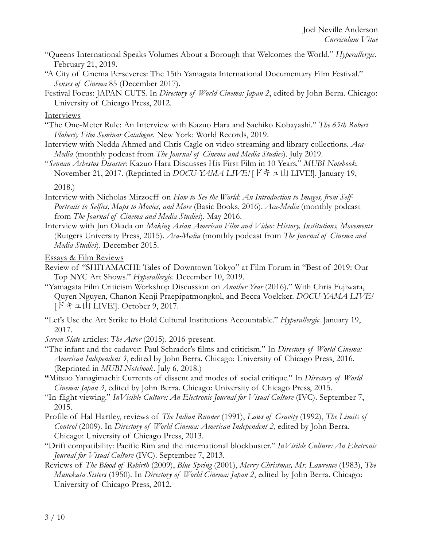- "Queens International Speaks Volumes About a Borough that Welcomes the World." *Hyperallergic*. February 21, 2019.
- "A City of Cinema Perseveres: The 15th Yamagata International Documentary Film Festival." *Senses of Cinema* 85 (December 2017).
- Festival Focus: JAPAN CUTS. In *Directory of World Cinema: Japan 2*, edited by John Berra. Chicago: University of Chicago Press, 2012.

**Interviews** 

- "The One-Meter Rule: An Interview with Kazuo Hara and Sachiko Kobayashi." *The 65th Robert Flaherty Film Seminar Catalogue*. New York: World Records, 2019.
- Interview with Nedda Ahmed and Chris Cagle on video streaming and library collections. *Aca-Media* (monthly podcast from *The Journal of Cinema and Media Studies*). July 2019.

"*Sennan Asbestos Disaster*: Kazuo Hara Discusses His First Film in 10 Years." *MUBI Notebook*. November 21, 2017. (Reprinted in *DOCU-YAMA LIVE!* [ドキュ山 LIVE!]. January 19,

2018.)

- Interview with Nicholas Mirzoeff on *How to See the World: An Introduction to Images, from Self-Portraits to Selfies, Maps to Movies, and More* (Basic Books, 2016). *Aca-Media* (monthly podcast from *The Journal of Cinema and Media Studies*). May 2016.
- Interview with Jun Okada on *Making Asian American Film and Video: History, Institutions, Movements* (Rutgers University Press, 2015). *Aca-Media* (monthly podcast from *The Journal of Cinema and Media Studies*). December 2015.

Essays & Film Reviews

- Review of "SHITAMACHI: Tales of Downtown Tokyo" at Film Forum in "Best of 2019: Our Top NYC Art Shows." *Hyperallergic*. December 10, 2019.
- "Yamagata Film Criticism Workshop Discussion on *Another Year* (2016)." With Chris Fujiwara, Quyen Nguyen, Chanon Kenji Praepipatmongkol, and Becca Voelcker. *DOCU-YAMA LIVE!* [ドキュ山 LIVE!]. October 9, 2017.
- "Let's Use the Art Strike to Hold Cultural Institutions Accountable." *Hyperallergic*. January 19, 2017.

*Screen Slate* articles: *The Actor* (2015). 2016-present.

- "The infant and the cadaver: Paul Schrader's films and criticism." In *Directory of World Cinema: American Independent 3*, edited by John Berra. Chicago: University of Chicago Press, 2016. (Reprinted in *MUBI Notebook*. July 6, 2018.)
- **"**Mitsuo Yanagimachi: Currents of dissent and modes of social critique." In *Directory of World Cinema: Japan 3*, edited by John Berra. Chicago: University of Chicago Press, 2015.
- "In-flight viewing." *InVisible Culture: An Electronic Journal for Visual Culture* (IVC). September 7, 2015.
- Profile of Hal Hartley, reviews of *The Indian Runner* (1991), *Laws of Gravity* (1992), *The Limits of Control* (2009). In *Directory of World Cinema: American Independent 2*, edited by John Berra. Chicago: University of Chicago Press, 2013.
- "Drift compatibility: Pacific Rim and the international blockbuster." *InVisible Culture: An Electronic Journal for Visual Culture* (IVC). September 7, 2013.
- Reviews of *The Blood of Rebirth* (2009), *Blue Spring* (2001), *Merry Christmas, Mr. Lawrence* (1983), *The Munekata Sisters* (1950). In *Directory of World Cinema: Japan 2*, edited by John Berra. Chicago: University of Chicago Press, 2012.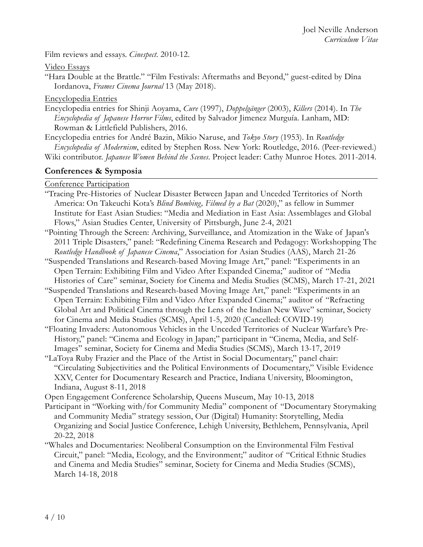Film reviews and essays. *Cinespect*. 2010-12.

Video Essays

"Hara Double at the Brattle." "Film Festivals: Aftermaths and Beyond," guest-edited by Dîna Iordanova, *Frames Cinema Journal* 13 (May 2018).

Encyclopedia Entries

- Encyclopedia entries for Shinji Aoyama, *Cure* (1997), *Doppelgänger* (2003), *Killers* (2014). In *The Encyclopedia of Japanese Horror Films*, edited by Salvador Jimenez Murguía. Lanham, MD: Rowman & Littlefield Publishers, 2016.
- Encyclopedia entries for André Bazin, Mikio Naruse, and *Tokyo Story* (1953). In *Routledge Encyclopedia of Modernism*, edited by Stephen Ross. New York: Routledge, 2016. (Peer-reviewed.) Wiki contributor. *Japanese Women Behind the Scenes*. Project leader: Cathy Munroe Hotes. 2011-2014.

#### **Conferences & Symposia**

Conference Participation

- "Tracing Pre-Histories of Nuclear Disaster Between Japan and Unceded Territories of North America: On Takeuchi Kota's *Blind Bombing, Filmed by a Bat* (2020)," as fellow in Summer Institute for East Asian Studies: "Media and Mediation in East Asia: Assemblages and Global Flows," Asian Studies Center, University of Pittsburgh, June 2-4, 2021
- "Pointing Through the Screen: Archiving, Surveillance, and Atomization in the Wake of Japan's 2011 Triple Disasters," panel: "Redefining Cinema Research and Pedagogy: Workshopping The *Routledge Handbook of Japanese Cinema*," Association for Asian Studies (AAS), March 21-26
- "Suspended Translations and Research-based Moving Image Art," panel: "Experiments in an Open Terrain: Exhibiting Film and Video After Expanded Cinema;" auditor of "Media Histories of Care" seminar, Society for Cinema and Media Studies (SCMS), March 17-21, 2021
- "Suspended Translations and Research-based Moving Image Art," panel: "Experiments in an Open Terrain: Exhibiting Film and Video After Expanded Cinema;" auditor of "Refracting Global Art and Political Cinema through the Lens of the Indian New Wave" seminar, Society for Cinema and Media Studies (SCMS), April 1-5, 2020 (Cancelled: COVID-19)
- "Floating Invaders: Autonomous Vehicles in the Unceded Territories of Nuclear Warfare's Pre-History," panel: "Cinema and Ecology in Japan;" participant in "Cinema, Media, and Self-Images" seminar, Society for Cinema and Media Studies (SCMS), March 13-17, 2019
- "LaToya Ruby Frazier and the Place of the Artist in Social Documentary," panel chair: "Circulating Subjectivities and the Political Environments of Documentary," Visible Evidence XXV, Center for Documentary Research and Practice, Indiana University, Bloomington, Indiana, August 8-11, 2018
- Open Engagement Conference Scholarship, Queens Museum, May 10-13, 2018
- Participant in "Working with/for Community Media" component of "Documentary Storymaking and Community Media" strategy session, Our (Digital) Humanity: Storytelling, Media Organizing and Social Justice Conference, Lehigh University, Bethlehem, Pennsylvania, April 20-22, 2018
- "Whales and Documentaries: Neoliberal Consumption on the Environmental Film Festival Circuit," panel: "Media, Ecology, and the Environment;" auditor of "Critical Ethnic Studies and Cinema and Media Studies" seminar, Society for Cinema and Media Studies (SCMS), March 14-18, 2018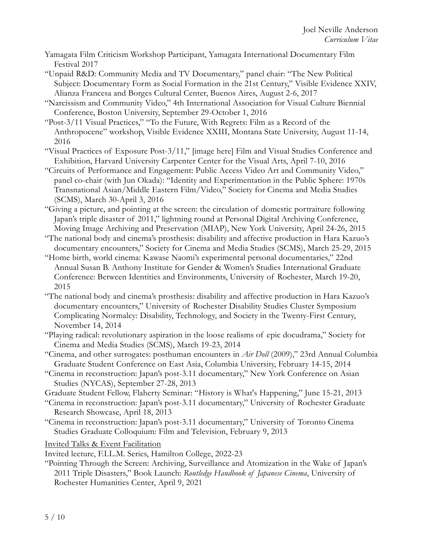- Yamagata Film Criticism Workshop Participant, Yamagata International Documentary Film Festival 2017
- "Unpaid R&D: Community Media and TV Documentary," panel chair: "The New Political Subject: Documentary Form as Social Formation in the 21st Century," Visible Evidence XXIV, Alianza Francesa and Borges Cultural Center, Buenos Aires, August 2-6, 2017
- "Narcissism and Community Video," 4th International Association for Visual Culture Biennial Conference, Boston University, September 29-October 1, 2016
- "Post-3/11 Visual Practices," "To the Future, With Regrets: Film as a Record of the Anthropocene" workshop, Visible Evidence XXIII, Montana State University, August 11-14, 2016
- "Visual Practices of Exposure Post-3/11," [image here] Film and Visual Studies Conference and Exhibition, Harvard University Carpenter Center for the Visual Arts, April 7-10, 2016
- "Circuits of Performance and Engagement: Public Access Video Art and Community Video," panel co-chair (with Jun Okada): "Identity and Experimentation in the Public Sphere: 1970s Transnational Asian/Middle Eastern Film/Video," Society for Cinema and Media Studies (SCMS), March 30-April 3, 2016
- "Giving a picture, and pointing at the screen: the circulation of domestic portraiture following Japan's triple disaster of 2011," lightning round at Personal Digital Archiving Conference, Moving Image Archiving and Preservation (MIAP), New York University, April 24-26, 2015
- "The national body and cinema's prosthesis: disability and affective production in Hara Kazuo's documentary encounters," Society for Cinema and Media Studies (SCMS), March 25-29, 2015
- "Home birth, world cinema: Kawase Naomi's experimental personal documentaries," 22nd Annual Susan B. Anthony Institute for Gender & Women's Studies International Graduate Conference: Between Identities and Environments, University of Rochester, March 19-20, 2015
- "The national body and cinema's prosthesis: disability and affective production in Hara Kazuo's documentary encounters," University of Rochester Disability Studies Cluster Symposium Complicating Normalcy: Disability, Technology, and Society in the Twenty-First Century, November 14, 2014
- "Playing radical: revolutionary aspiration in the loose realisms of epic docudrama," Society for Cinema and Media Studies (SCMS), March 19-23, 2014
- "Cinema, and other surrogates: posthuman encounters in *Air Doll* (2009)," 23rd Annual Columbia Graduate Student Conference on East Asia, Columbia University, February 14-15, 2014
- "Cinema in reconstruction: Japan's post-3.11 documentary," New York Conference on Asian Studies (NYCAS), September 27-28, 2013
- Graduate Student Fellow, Flaherty Seminar: "History is What's Happening," June 15-21, 2013
- "Cinema in reconstruction: Japan's post-3.11 documentary," University of Rochester Graduate Research Showcase, April 18, 2013
- "Cinema in reconstruction: Japan's post-3.11 documentary," University of Toronto Cinema Studies Graduate Colloquium: Film and Television, February 9, 2013

Invited Talks & Event Facilitation

- Invited lecture, F.I.L.M. Series, Hamilton College, 2022-23
- "Pointing Through the Screen: Archiving, Surveillance and Atomization in the Wake of Japan's 2011 Triple Disasters," Book Launch: *Routledge Handbook of Japanese Cinema*, University of Rochester Humanities Center, April 9, 2021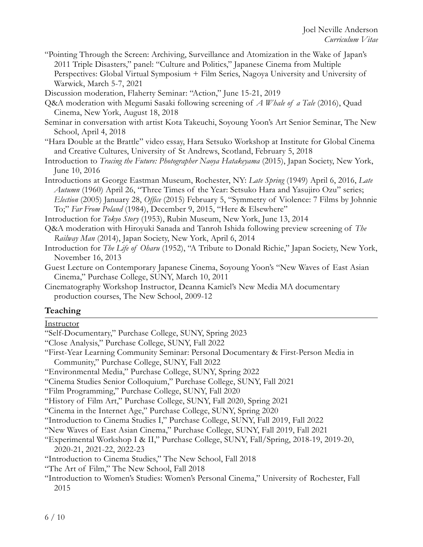"Pointing Through the Screen: Archiving, Surveillance and Atomization in the Wake of Japan's 2011 Triple Disasters," panel: "Culture and Politics," Japanese Cinema from Multiple Perspectives: Global Virtual Symposium + Film Series, Nagoya University and University of Warwick, March 5-7, 2021

Discussion moderation, Flaherty Seminar: "Action," June 15-21, 2019

- Q&A moderation with Megumi Sasaki following screening of *A Whale of a Tale* (2016), Quad Cinema, New York, August 18, 2018
- Seminar in conversation with artist Kota Takeuchi, Soyoung Yoon's Art Senior Seminar, The New School, April 4, 2018
- "Hara Double at the Brattle" video essay, Hara Setsuko Workshop at Institute for Global Cinema and Creative Cultures, University of St Andrews, Scotland, February 5, 2018
- Introduction to *Tracing the Future: Photographer Naoya Hatakeyama* (2015), Japan Society, New York, June 10, 2016
- Introductions at George Eastman Museum, Rochester, NY: *Late Spring* (1949) April 6, 2016, *Late Autumn* (1960) April 26, "Three Times of the Year: Setsuko Hara and Yasujiro Ozu" series; *Election* (2005) January 28, *Office* (2015) February 5, "Symmetry of Violence: 7 Films by Johnnie To;" *Far From Poland* (1984), December 9, 2015, "Here & Elsewhere"

Introduction for *Tokyo Story* (1953), Rubin Museum, New York, June 13, 2014

- Q&A moderation with Hiroyuki Sanada and Tanroh Ishida following preview screening of *The Railway Man* (2014), Japan Society, New York, April 6, 2014
- Introduction for *The Life of Oharu* (1952), "A Tribute to Donald Richie," Japan Society, New York, November 16, 2013
- Guest Lecture on Contemporary Japanese Cinema, Soyoung Yoon's "New Waves of East Asian Cinema," Purchase College, SUNY, March 10, 2011
- Cinematography Workshop Instructor, Deanna Kamiel's New Media MA documentary production courses, The New School, 2009-12

#### **Teaching**

#### Instructor

- "Self-Documentary," Purchase College, SUNY, Spring 2023
- "Close Analysis," Purchase College, SUNY, Fall 2022
- "First-Year Learning Community Seminar: Personal Documentary & First-Person Media in Community," Purchase College, SUNY, Fall 2022
- "Environmental Media," Purchase College, SUNY, Spring 2022
- "Cinema Studies Senior Colloquium," Purchase College, SUNY, Fall 2021
- "Film Programming," Purchase College, SUNY, Fall 2020
- "History of Film Art," Purchase College, SUNY, Fall 2020, Spring 2021
- "Cinema in the Internet Age," Purchase College, SUNY, Spring 2020
- "Introduction to Cinema Studies I," Purchase College, SUNY, Fall 2019, Fall 2022

"New Waves of East Asian Cinema," Purchase College, SUNY, Fall 2019, Fall 2021

- "Experimental Workshop I & II," Purchase College, SUNY, Fall/Spring, 2018-19, 2019-20, 2020-21, 2021-22, 2022-23
- "Introduction to Cinema Studies," The New School, Fall 2018

"Introduction to Women's Studies: Women's Personal Cinema," University of Rochester, Fall 2015

<sup>&</sup>quot;The Art of Film," The New School, Fall 2018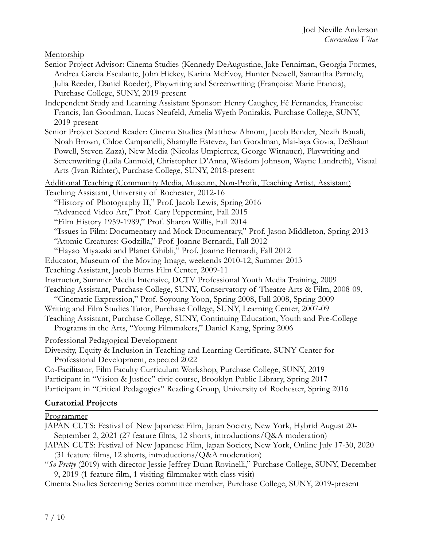Mentorship

- Senior Project Advisor: Cinema Studies (Kennedy DeAugustine, Jake Fenniman, Georgia Formes, Andrea Garcia Escalante, John Hickey, Karina McEvoy, Hunter Newell, Samantha Parmely, Julia Reeder, Daniel Roeder), Playwriting and Screenwriting (Françoise Marie Francis), Purchase College, SUNY, 2019-present
- Independent Study and Learning Assistant Sponsor: Henry Caughey, Fê Fernandes, Françoise Francis, Ian Goodman, Lucas Neufeld, Amelia Wyeth Ponirakis, Purchase College, SUNY, 2019-present
- Senior Project Second Reader: Cinema Studies (Matthew Almont, Jacob Bender, Nezih Bouali, Noah Brown, Chloe Campanelli, Shamylle Estevez, Ian Goodman, Mai-laya Govia, DeShaun Powell, Steven Zaza), New Media (Nicolas Umpierrez, George Witnauer), Playwriting and Screenwriting (Laila Cannold, Christopher D'Anna, Wisdom Johnson, Wayne Landreth), Visual Arts (Ivan Richter), Purchase College, SUNY, 2018-present

Additional Teaching (Community Media, Museum, Non-Profit, Teaching Artist, Assistant)

Teaching Assistant, University of Rochester, 2012-16

"History of Photography II," Prof. Jacob Lewis, Spring 2016

"Advanced Video Art," Prof. Cary Peppermint, Fall 2015

"Film History 1959-1989," Prof. Sharon Willis, Fall 2014

"Issues in Film: Documentary and Mock Documentary," Prof. Jason Middleton, Spring 2013

"Atomic Creatures: Godzilla," Prof. Joanne Bernardi, Fall 2012

"Hayao Miyazaki and Planet Ghibli," Prof. Joanne Bernardi, Fall 2012

Educator, Museum of the Moving Image, weekends 2010-12, Summer 2013

Teaching Assistant, Jacob Burns Film Center, 2009-11

Instructor, Summer Media Intensive, DCTV Professional Youth Media Training, 2009

Teaching Assistant, Purchase College, SUNY, Conservatory of Theatre Arts & Film, 2008-09,

"Cinematic Expression," Prof. Soyoung Yoon, Spring 2008, Fall 2008, Spring 2009

Writing and Film Studies Tutor, Purchase College, SUNY, Learning Center, 2007-09

Teaching Assistant, Purchase College, SUNY, Continuing Education, Youth and Pre-College

Programs in the Arts, "Young Filmmakers," Daniel Kang, Spring 2006

Professional Pedagogical Development

Diversity, Equity & Inclusion in Teaching and Learning Certificate, SUNY Center for Professional Development, expected 2022

Co-Facilitator, Film Faculty Curriculum Workshop, Purchase College, SUNY, 2019 Participant in "Vision & Justice" civic course, Brooklyn Public Library, Spring 2017 Participant in "Critical Pedagogies" Reading Group, University of Rochester, Spring 2016

#### **Curatorial Projects**

Programmer

JAPAN CUTS: Festival of New Japanese Film, Japan Society, New York, Hybrid August 20- September 2, 2021 (27 feature films, 12 shorts, introductions/Q&A moderation)

JAPAN CUTS: Festival of New Japanese Film, Japan Society, New York, Online July 17-30, 2020 (31 feature films, 12 shorts, introductions/Q&A moderation)

"*So Pretty* (2019) with director Jessie Jeffrey Dunn Rovinelli," Purchase College, SUNY, December 9, 2019 (1 feature film, 1 visiting filmmaker with class visit)

Cinema Studies Screening Series committee member, Purchase College, SUNY, 2019-present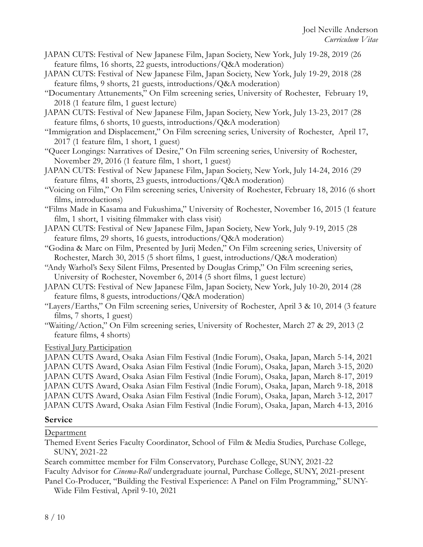- JAPAN CUTS: Festival of New Japanese Film, Japan Society, New York, July 19-28, 2019 (26 feature films, 16 shorts, 22 guests, introductions/Q&A moderation)
- JAPAN CUTS: Festival of New Japanese Film, Japan Society, New York, July 19-29, 2018 (28 feature films, 9 shorts, 21 guests, introductions/Q&A moderation)
- "Documentary Attunements," On Film screening series, University of Rochester, February 19, 2018 (1 feature film, 1 guest lecture)
- JAPAN CUTS: Festival of New Japanese Film, Japan Society, New York, July 13-23, 2017 (28 feature films, 6 shorts, 10 guests, introductions/Q&A moderation)
- "Immigration and Displacement," On Film screening series, University of Rochester, April 17, 2017 (1 feature film, 1 short, 1 guest)
- "Queer Longings: Narratives of Desire," On Film screening series, University of Rochester, November 29, 2016 (1 feature film, 1 short, 1 guest)
- JAPAN CUTS: Festival of New Japanese Film, Japan Society, New York, July 14-24, 2016 (29 feature films, 41 shorts, 23 guests, introductions/Q&A moderation)
- "Voicing on Film," On Film screening series, University of Rochester, February 18, 2016 (6 short films, introductions)
- "Films Made in Kasama and Fukushima," University of Rochester, November 16, 2015 (1 feature film, 1 short, 1 visiting filmmaker with class visit)
- JAPAN CUTS: Festival of New Japanese Film, Japan Society, New York, July 9-19, 2015 (28 feature films, 29 shorts, 16 guests, introductions/Q&A moderation)
- "Godina & Marc on Film, Presented by Jurij Meden," On Film screening series, University of Rochester, March 30, 2015 (5 short films, 1 guest, introductions/Q&A moderation)
- "Andy Warhol's Sexy Silent Films, Presented by Douglas Crimp," On Film screening series, University of Rochester, November 6, 2014 (5 short films, 1 guest lecture)
- JAPAN CUTS: Festival of New Japanese Film, Japan Society, New York, July 10-20, 2014 (28 feature films, 8 guests, introductions/Q&A moderation)
- "Layers/Earths," On Film screening series, University of Rochester, April 3 & 10, 2014 (3 feature films, 7 shorts, 1 guest)
- "Waiting/Action," On Film screening series, University of Rochester, March 27 & 29, 2013 (2 feature films, 4 shorts)

#### Festival Jury Participation

JAPAN CUTS Award, Osaka Asian Film Festival (Indie Forum), Osaka, Japan, March 5-14, 2021 JAPAN CUTS Award, Osaka Asian Film Festival (Indie Forum), Osaka, Japan, March 3-15, 2020 JAPAN CUTS Award, Osaka Asian Film Festival (Indie Forum), Osaka, Japan, March 8-17, 2019 JAPAN CUTS Award, Osaka Asian Film Festival (Indie Forum), Osaka, Japan, March 9-18, 2018 JAPAN CUTS Award, Osaka Asian Film Festival (Indie Forum), Osaka, Japan, March 3-12, 2017 JAPAN CUTS Award, Osaka Asian Film Festival (Indie Forum), Osaka, Japan, March 4-13, 2016

## **Service**

## Department

Themed Event Series Faculty Coordinator, School of Film & Media Studies, Purchase College, SUNY, 2021-22

Search committee member for Film Conservatory, Purchase College, SUNY, 2021-22

Faculty Advisor for *Cinema-Roll* undergraduate journal, Purchase College, SUNY, 2021-present

Panel Co-Producer, "Building the Festival Experience: A Panel on Film Programming," SUNY-Wide Film Festival, April 9-10, 2021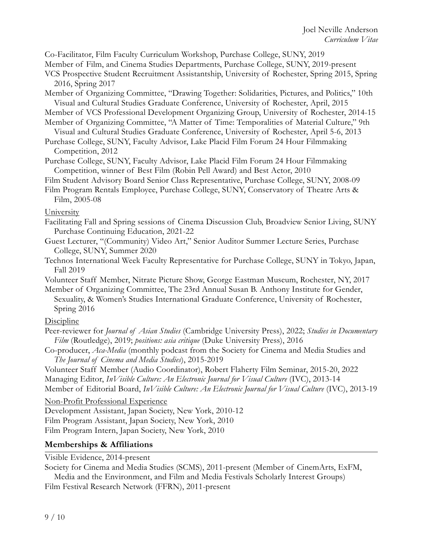Co-Facilitator, Film Faculty Curriculum Workshop, Purchase College, SUNY, 2019

Member of Film, and Cinema Studies Departments, Purchase College, SUNY, 2019-present

VCS Prospective Student Recruitment Assistantship, University of Rochester, Spring 2015, Spring 2016, Spring 2017

Member of Organizing Committee, "Drawing Together: Solidarities, Pictures, and Politics," 10th Visual and Cultural Studies Graduate Conference, University of Rochester, April, 2015

Member of VCS Professional Development Organizing Group, University of Rochester, 2014-15

- Member of Organizing Committee, "A Matter of Time: Temporalities of Material Culture," 9th Visual and Cultural Studies Graduate Conference, University of Rochester, April 5-6, 2013
- Purchase College, SUNY, Faculty Advisor, Lake Placid Film Forum 24 Hour Filmmaking Competition, 2012
- Purchase College, SUNY, Faculty Advisor, Lake Placid Film Forum 24 Hour Filmmaking Competition, winner of Best Film (Robin Pell Award) and Best Actor, 2010

Film Student Advisory Board Senior Class Representative, Purchase College, SUNY, 2008-09

Film Program Rentals Employee, Purchase College, SUNY, Conservatory of Theatre Arts & Film, 2005-08

#### University

- Facilitating Fall and Spring sessions of Cinema Discussion Club, Broadview Senior Living, SUNY Purchase Continuing Education, 2021-22
- Guest Lecturer, "(Community) Video Art," Senior Auditor Summer Lecture Series, Purchase College, SUNY, Summer 2020
- Technos International Week Faculty Representative for Purchase College, SUNY in Tokyo, Japan, Fall 2019
- Volunteer Staff Member, Nitrate Picture Show, George Eastman Museum, Rochester, NY, 2017
- Member of Organizing Committee, The 23rd Annual Susan B. Anthony Institute for Gender, Sexuality, & Women's Studies International Graduate Conference, University of Rochester, Spring 2016

#### **Discipline**

- Peer-reviewer for *Journal of Asian Studies* (Cambridge University Press), 2022; *Studies in Documentary Film* (Routledge), 2019; *positions: asia critique* (Duke University Press), 2016
- Co-producer, *Aca-Media* (monthly podcast from the Society for Cinema and Media Studies and *The Journal of Cinema and Media Studies*), 2015-2019

Volunteer Staff Member (Audio Coordinator), Robert Flaherty Film Seminar, 2015-20, 2022 Managing Editor, *InVisible Culture: An Electronic Journal for Visual Culture* (IVC), 2013-14 Member of Editorial Board, *InVisible Culture: An Electronic Journal for Visual Culture* (IVC), 2013-19

#### Non-Profit Professional Experience

Development Assistant, Japan Society, New York, 2010-12

Film Program Assistant, Japan Society, New York, 2010

Film Program Intern, Japan Society, New York, 2010

## **Memberships & Affiliations**

Visible Evidence, 2014-present

Society for Cinema and Media Studies (SCMS), 2011-present (Member of CinemArts, ExFM, Media and the Environment, and Film and Media Festivals Scholarly Interest Groups)

Film Festival Research Network (FFRN), 2011-present